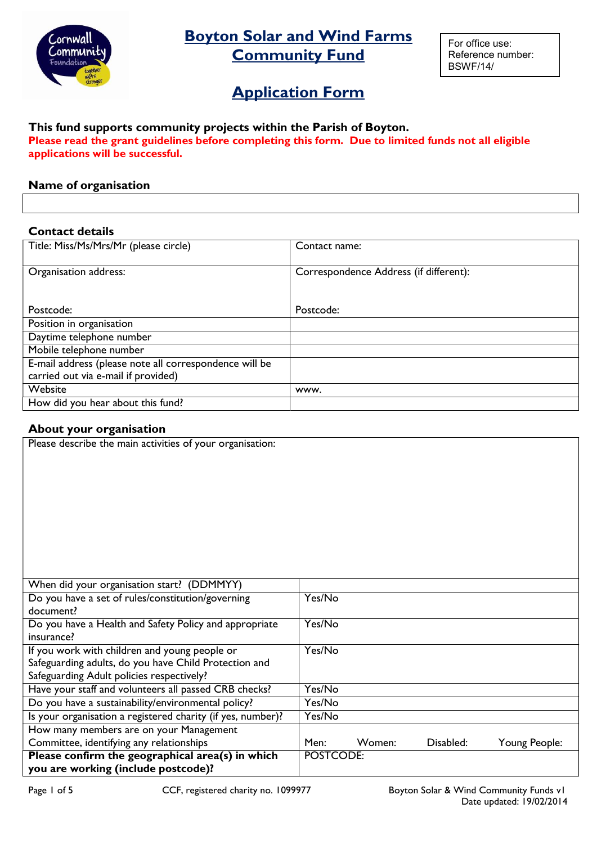

# Boyton Solar and Wind Farms **Community Fund**

For office use: Reference number: BSWF/14/

# **Application Form**

### This fund supports community projects within the Parish of Boyton. Please read the grant guidelines before completing this form. Due to limited funds not all eligible applications will be successful.

## Name of organisation

#### Contact details

| Title: Miss/Ms/Mrs/Mr (please circle)                  | Contact name:                          |
|--------------------------------------------------------|----------------------------------------|
|                                                        |                                        |
| Organisation address:                                  | Correspondence Address (if different): |
|                                                        |                                        |
|                                                        |                                        |
| Postcode:                                              | Postcode:                              |
| Position in organisation                               |                                        |
| Daytime telephone number                               |                                        |
| Mobile telephone number                                |                                        |
| E-mail address (please note all correspondence will be |                                        |
| carried out via e-mail if provided)                    |                                        |
| Website                                                | www.                                   |
| How did you hear about this fund?                      |                                        |
|                                                        |                                        |

### About your organisation

| Please describe the main activities of your organisation:                                                                                           |           |        |           |               |
|-----------------------------------------------------------------------------------------------------------------------------------------------------|-----------|--------|-----------|---------------|
| When did your organisation start? (DDMMYY)                                                                                                          |           |        |           |               |
| Do you have a set of rules/constitution/governing                                                                                                   | Yes/No    |        |           |               |
| document?                                                                                                                                           |           |        |           |               |
| Do you have a Health and Safety Policy and appropriate<br>insurance?                                                                                | Yes/No    |        |           |               |
| If you work with children and young people or<br>Safeguarding adults, do you have Child Protection and<br>Safeguarding Adult policies respectively? | Yes/No    |        |           |               |
| Have your staff and volunteers all passed CRB checks?                                                                                               | Yes/No    |        |           |               |
| Do you have a sustainability/environmental policy?                                                                                                  | Yes/No    |        |           |               |
| Is your organisation a registered charity (if yes, number)?                                                                                         | Yes/No    |        |           |               |
| How many members are on your Management                                                                                                             |           |        |           |               |
| Committee, identifying any relationships                                                                                                            | Men:      | Women: | Disabled: | Young People: |
| Please confirm the geographical area(s) in which                                                                                                    | POSTCODE: |        |           |               |
| you are working (include postcode)?                                                                                                                 |           |        |           |               |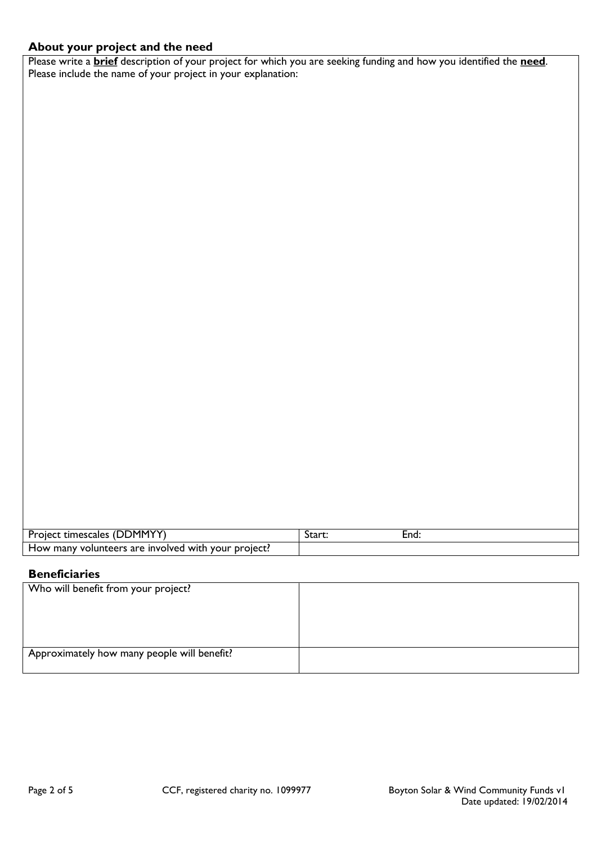# About your project and the need

Please write a **brief** description of your project for which you are seeking funding and how you identified the need. Please include the name of your project in your explanation:

| ֿ ∩MMYY∩<br><b>Project</b><br>IDL.<br>: timescales                  | Start: | End |
|---------------------------------------------------------------------|--------|-----|
| How many volunteers are.<br>nvolved i<br>with.<br>project:"<br>vour |        |     |

# **Beneficiaries**

| Who will benefit from your project?         |  |
|---------------------------------------------|--|
|                                             |  |
|                                             |  |
|                                             |  |
| Approximately how many people will benefit? |  |
|                                             |  |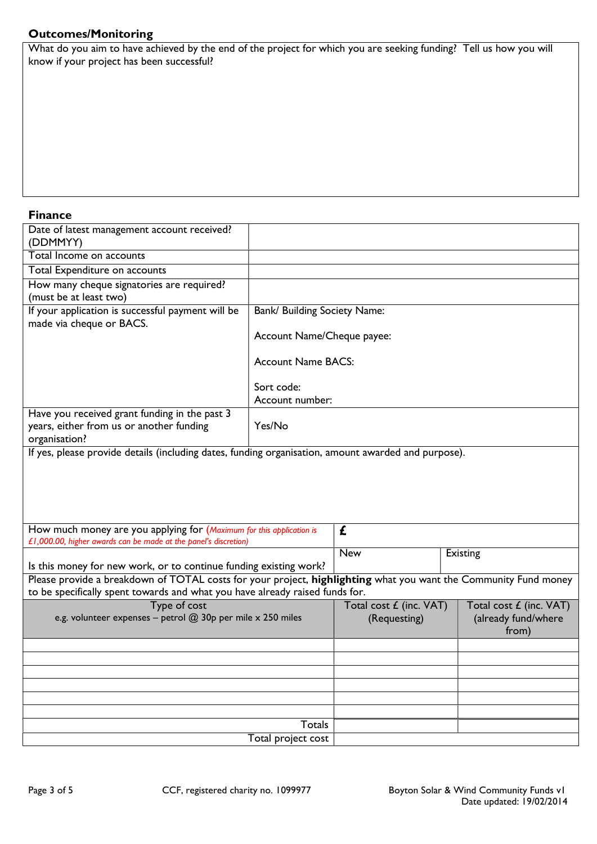## Outcomes/Monitoring

What do you aim to have achieved by the end of the project for which you are seeking funding? Tell us how you will know if your project has been successful?

#### Finance

| Date of latest management account received?<br>(DDMMYY)                                                                                 |                               |                                         |                                                         |
|-----------------------------------------------------------------------------------------------------------------------------------------|-------------------------------|-----------------------------------------|---------------------------------------------------------|
| Total Income on accounts                                                                                                                |                               |                                         |                                                         |
| Total Expenditure on accounts                                                                                                           |                               |                                         |                                                         |
| How many cheque signatories are required?<br>(must be at least two)                                                                     |                               |                                         |                                                         |
| If your application is successful payment will be<br>made via cheque or BACS.                                                           | Bank/ Building Society Name:  |                                         |                                                         |
|                                                                                                                                         | Account Name/Cheque payee:    |                                         |                                                         |
|                                                                                                                                         | <b>Account Name BACS:</b>     |                                         |                                                         |
|                                                                                                                                         | Sort code:<br>Account number: |                                         |                                                         |
| Have you received grant funding in the past 3<br>years, either from us or another funding<br>organisation?                              | Yes/No                        |                                         |                                                         |
| If yes, please provide details (including dates, funding organisation, amount awarded and purpose).                                     |                               |                                         |                                                         |
|                                                                                                                                         |                               |                                         |                                                         |
| How much money are you applying for (Maximum for this application is<br>£1,000.00, higher awards can be made at the panel's discretion) |                               | £                                       |                                                         |
| Is this money for new work, or to continue funding existing work?                                                                       |                               | <b>New</b>                              | Existing                                                |
| Please provide a breakdown of TOTAL costs for your project, highlighting what you want the Community Fund money                         |                               |                                         |                                                         |
| to be specifically spent towards and what you have already raised funds for.                                                            |                               |                                         |                                                         |
| Type of cost<br>e.g. volunteer expenses - petrol @ 30p per mile x 250 miles                                                             |                               | Total cost £ (inc. VAT)<br>(Requesting) | Total cost £ (inc. VAT)<br>(already fund/where<br>from) |
|                                                                                                                                         |                               |                                         |                                                         |
|                                                                                                                                         |                               |                                         |                                                         |
|                                                                                                                                         |                               |                                         |                                                         |
|                                                                                                                                         |                               |                                         |                                                         |
|                                                                                                                                         |                               |                                         |                                                         |
|                                                                                                                                         | Totals                        |                                         |                                                         |
|                                                                                                                                         | Total project cost            |                                         |                                                         |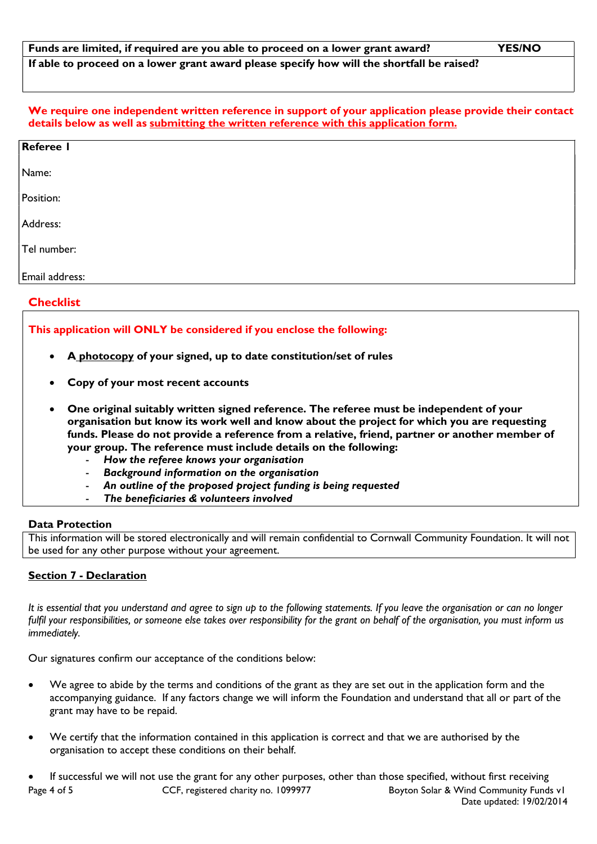We require one independent written reference in support of your application please provide their contact details below as well as submitting the written reference with this application form.

| <b>Referee I</b> |  |  |  |
|------------------|--|--|--|
| Name:            |  |  |  |
| Position:        |  |  |  |
| Address:         |  |  |  |
| Tel number:      |  |  |  |
| Email address:   |  |  |  |

#### **Checklist**

#### This application will ONLY be considered if you enclose the following:

- A photocopy of your signed, up to date constitution/set of rules
- Copy of your most recent accounts
- One original suitably written signed reference. The referee must be independent of your organisation but know its work well and know about the project for which you are requesting funds. Please do not provide a reference from a relative, friend, partner or another member of your group. The reference must include details on the following:
	- How the referee knows your organisation
	- Background information on the organisation
	- An outline of the proposed project funding is being requested
	- The beneficiaries & volunteers involved

#### Data Protection

This information will be stored electronically and will remain confidential to Cornwall Community Foundation. It will not be used for any other purpose without your agreement.

#### Section 7 - Declaration

It is essential that you understand and agree to sign up to the following statements. If you leave the organisation or can no longer fulfil your responsibilities, or someone else takes over responsibility for the grant on behalf of the organisation, you must inform us immediately.

Our signatures confirm our acceptance of the conditions below:

- We agree to abide by the terms and conditions of the grant as they are set out in the application form and the accompanying guidance. If any factors change we will inform the Foundation and understand that all or part of the grant may have to be repaid.
- We certify that the information contained in this application is correct and that we are authorised by the organisation to accept these conditions on their behalf.

Page 4 of 5 CCF, registered charity no. 1099977 Boyton Solar & Wind Community Funds v1 Date updated: 19/02/2014 If successful we will not use the grant for any other purposes, other than those specified, without first receiving